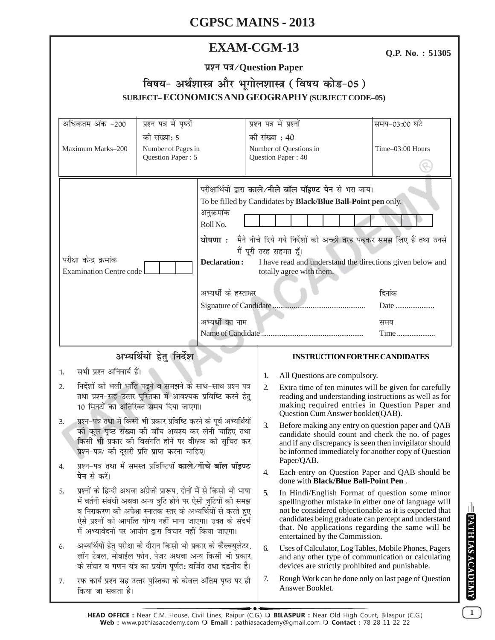### **EXAM-CGM-13**

Q.P. No.: 51305

|  | प्रश्न पत्र/Question Paper |  |
|--|----------------------------|--|
|  |                            |  |

# विषय- अर्थशास्त्र और भूगोलशास्त्र (विषय कोड-05) SUBJECT-ECONOMICS AND GEOGRAPHY (SUBJECT CODE-05)

| अधिकतम अंक -200                                                                                                                                                                                                                                                                                                                                                                                                                                               | प्रश्न पत्र में पृष्ठों                                 |                                                                                           | प्रश्न पत्र में प्रश्नों                                       |                                                                                                                                                                                                                                                                                                                 | समय-03:00 घंटे        |  |
|---------------------------------------------------------------------------------------------------------------------------------------------------------------------------------------------------------------------------------------------------------------------------------------------------------------------------------------------------------------------------------------------------------------------------------------------------------------|---------------------------------------------------------|-------------------------------------------------------------------------------------------|----------------------------------------------------------------|-----------------------------------------------------------------------------------------------------------------------------------------------------------------------------------------------------------------------------------------------------------------------------------------------------------------|-----------------------|--|
| Maximum Marks-200                                                                                                                                                                                                                                                                                                                                                                                                                                             | की संख्या: 5<br>Number of Pages in<br>Question Paper: 5 |                                                                                           | की संख्या : 40<br>Number of Questions in<br>Question Paper: 40 |                                                                                                                                                                                                                                                                                                                 | Time-03:00 Hours      |  |
| परीक्षा केन्द्र क्रमांक<br><b>Examination Centre code</b>                                                                                                                                                                                                                                                                                                                                                                                                     |                                                         | अनुक्रमांक<br>Roll No.<br><b>Declaration:</b><br>अभ्यर्थी के हस्ताक्षर<br>अभ्यर्थी का नाम | मैं पूरी तरह सहमत हूँ।                                         | परीक्षार्थियों द्वारा काले/नीले बॉल पॉइण्ट पेन से भरा जाय।<br>To be filled by Candidates by Black/Blue Ball-Point pen only.<br>घोषणा : मैने नीचे दिये गये निर्देशों को अच्छी तरह पढ़कर समझ लिए हैं तथा उनसे<br>I have read and understand the directions given below and<br>totally agree with them.            | दिनांक<br>Date<br>समय |  |
|                                                                                                                                                                                                                                                                                                                                                                                                                                                               | अभ्यर्थियों हेतु निर्देश                                |                                                                                           |                                                                | <b>INSTRUCTION FOR THE CANDIDATES</b>                                                                                                                                                                                                                                                                           | Time                  |  |
|                                                                                                                                                                                                                                                                                                                                                                                                                                                               |                                                         |                                                                                           |                                                                |                                                                                                                                                                                                                                                                                                                 |                       |  |
| सभी प्रश्न अनिवार्य हैं।<br>1.<br>निर्देशों को भली भांति पढ़ने व समझने के साथ-साथ प्रश्न पत्र<br>2.<br>तथा प्रश्न-सह-उत्तर पुस्तिका में आवश्यक प्रविष्टि करने हेतु<br>10 मिनटों का अतिरिक्त समय दिया जाएगा।<br>प्रश्न-पत्र तथा में किसी भी प्रकार प्रविष्टि करने के पूर्व अभ्यर्थियों<br>3.<br>को कुल पृष्ठ संख्या की जाँच अवश्य कर लेनी चाहिए तथा<br>किसी भी प्रकार की विसंगति होने पर वीक्षक को सूचित कर<br>प्रश्न-पत्र/ की दूसरी प्रति प्राप्त करना चाहिए। |                                                         |                                                                                           | 1.<br>2.                                                       | All Questions are compulsory.<br>Extra time of ten minutes will be given for carefully<br>reading and understanding instructions as well as for<br>making required entries in Question Paper and<br>Question Cum Answer booklet(QAB).                                                                           |                       |  |
|                                                                                                                                                                                                                                                                                                                                                                                                                                                               |                                                         |                                                                                           | 3.                                                             | Before making any entry on question paper and QAB<br>candidate should count and check the no. of pages<br>and if any discrepancy is seen then invigilator should<br>be informed immediately for another copy of Question<br>Paper/QAB.                                                                          |                       |  |
| प्रश्न-पत्र तथा में समस्त प्रविष्टियाँ काले/नीचे बॉल पॉइण्ट<br>4.<br><b>पेन</b> से करें।                                                                                                                                                                                                                                                                                                                                                                      |                                                         |                                                                                           | 4.                                                             | Each entry on Question Paper and QAB should be<br>done with <b>Black/Blue Ball-Point Pen</b> .                                                                                                                                                                                                                  |                       |  |
| प्रश्नों के हिन्दी अथवा अंग्रेजी प्रारूप, दोनों में से किसी भी भाषा<br>5.<br>में वर्तनी संबंधी अथवा अन्य त्रुटि होने पर ऐसी त्रुटियों की समझ<br>व निराकरण की अपेक्षा स्नातक स्तर के अभ्यर्थियों से करते हुए<br>ऐसे प्रश्नों को आपत्ति योग्य नहीं माना जाएगा। उक्त के संदर्भ<br>में अभ्यावेदनों पर आयोग द्वारा विचार नहीं किया जाएगा।                                                                                                                          |                                                         |                                                                                           | 5.                                                             | In Hindi/English Format of question some minor<br>spelling/other mistake in either one of language will<br>not be considered objectionable as it is expected that<br>candidates being graduate can percept and understand<br>that. No applications regarding the same will be<br>entertained by the Commission. |                       |  |
| अभ्यर्थियों हेतु परीक्षा के दौरान किसी भी प्रकार के कैल्क्युलेटर,<br>6.<br>लॉग टेबल, मोबाईल फोन, पेजर अथवा अन्य किसी भी प्रकार<br>के संचार व गणन यंत्र का प्रयोग पूर्णत: वर्जित तथा दंडनीय है।                                                                                                                                                                                                                                                                |                                                         |                                                                                           | 6.                                                             | Uses of Calculator, Log Tables, Mobile Phones, Pagers<br>and any other type of communication or calculating<br>devices are strictly prohibited and punishable.                                                                                                                                                  |                       |  |
| रफ कार्य प्रश्न सह उत्तर पुस्तिका के केवल अंतिम पृष्ठ पर ही<br>7.<br>किया जा सकता है।                                                                                                                                                                                                                                                                                                                                                                         |                                                         |                                                                                           | 7.                                                             | Rough Work can be done only on last page of Question<br>Answer Booklet.                                                                                                                                                                                                                                         |                       |  |

DATH IAS ACADEMY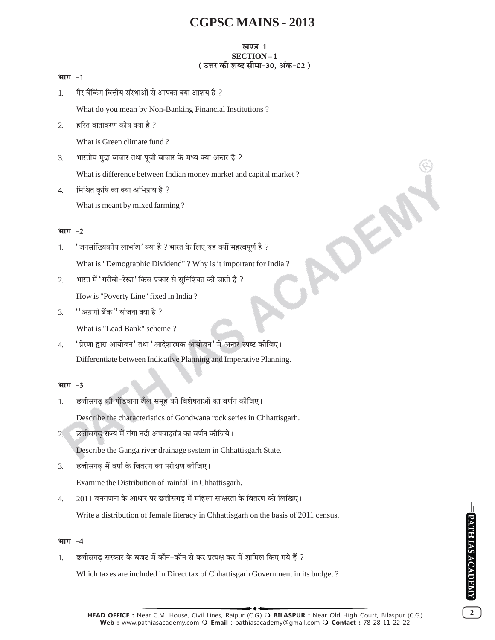#### ग्वएड-1 SECTION-1 (उत्तर की शब्द सीमा-30, अंक-02)

|--|--|

गैर बैंकिंग वित्तीय संस्थाओं से आपका क्या आशय है ?  $\mathbf{1}$ 

What do you mean by Non-Banking Financial Institutions?

हरित वातावरण कोष क्या है ?  $\overline{2}$ 

What is Green climate fund?

भारतीय मुद्रा बाजार तथा पुंजी बाजार के मध्य क्या अन्तर है ? 3.

What is difference between Indian money market and capital market?

मिश्रित कृषि का क्या अभिप्राय है ?  $\overline{4}$ . What is meant by mixed farming?

#### भाग -2

- ' जनसांख्यिकीय लाभांश' क्या है ? भारत के लिए यह क्यों महत्वपूर्ण है ? 1. What is "Demographic Dividend"? Why is it important for India?
- भारत में 'गरीबी-रेखा' किस प्रकार से सुनिश्चित की जाती है ?  $\overline{2}$ How is "Poverty Line" fixed in India?
- ''अग्रणी बैंक'' योजना क्या है ?  $\overline{3}$ .

What is "Lead Bank" scheme?

'प्रेरणा द्वारा आयोजन' तथा 'आदेशात्मक आयोजन' में अन्तर स्पष्ट कीजिए।  $\overline{4}$ . Differentiate between Indicative Planning and Imperative Planning.

#### भाग $-3$

छत्तीसगढ की गोंडवाना शैल समह की विशेषताओं का वर्णन कीजिए। 1.

Describe the characteristics of Gondwana rock series in Chhattisgarh.

छत्तीसगढ राज्य में गंगा नदी अपवाहतंत्र का वर्णन कीजिये।  $2<sup>0</sup>$ 

Describe the Ganga river drainage system in Chhattisgarh State.

छत्तीसगढ में वर्षा के वितरण का परीक्षण कीजिए।  $\overline{3}$ .

Examine the Distribution of rainfall in Chhattisgarh.

2011 जनगणना के आधार पर छत्तीसगढ में महिला साक्षरता के वितरण को लिखिए।  $\overline{4}$ .

Write a distribution of female literacy in Chhattisgarh on the basis of 2011 census.

#### भाग $-4$

छत्तीसगढ सरकार के बजट में कौन–कौन से कर प्रत्यक्ष कर में शामिल किए गये हैं ?  $1.$ 

Which taxes are included in Direct tax of Chhattisgarh Government in its budget?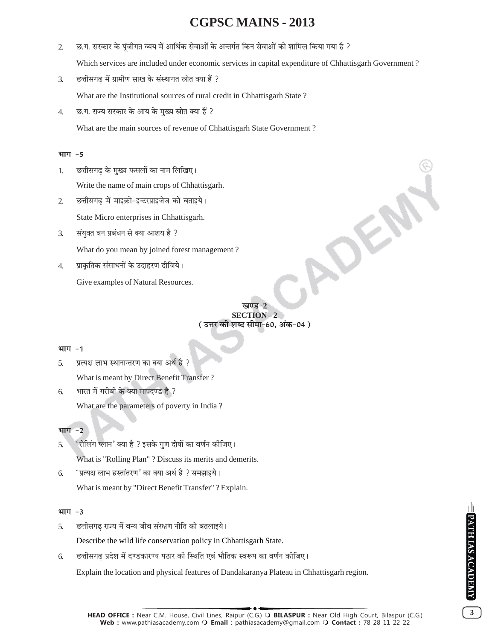- छ.ग. सरकार के पूंजीगत व्यय में आर्थिक सेवाओं के अन्तर्गत किन सेवाओं को शामिल किया गया है ?  $\overline{2}$ . Which services are included under economic services in capital expenditure of Chhattisgarh Government?
- $\overline{3}$ . छत्तीसगढ में ग्रामीण साख के संस्थागत स्रोत क्या हैं ?

What are the Institutional sources of rural credit in Chhattisgarh State?

छ.ग. राज्य सरकार के आय के मुख्य स्रोत क्या हैं ?  $\overline{4}$ .

What are the main sources of revenue of Chhattisgarh State Government?

#### भाग $-5$

- छत्तीसगढ के मख्य फसलों का नाम लिखिए। 1. Write the name of main crops of Chhattisgarh.
- छत्तीसगढ में माइक्रो-इन्टरप्राइजेज को बताइये।  $\overline{2}$

State Micro enterprises in Chhattisgarh.

- संयुक्त वन प्रबंधन से क्या आशय है ? 3. What do you mean by joined forest management?
- प्राकृतिक संसाधनों के उदाहरण दीजिये।  $\overline{4}$ .

Give examples of Natural Resources.

 $7a\overline{0}$ ਵ $-2$ SECTION-2 ( उत्तर की शब्द सीमा-60, अंक-04 )

#### भाग -1

 $\overline{5}$ . प्रत्यक्ष लाभ स्थानान्तरण का क्या अर्थ है ? What is meant by Direct Benefit Transfer?

भारत में गरीबी के क्या मापदण्ड है ? 6. What are the parameters of poverty in India?

#### भाग -2

- 'रोलिंग प्लान' क्या है ? इसके गण दोषों का वर्णन कीजिए।  $\overline{5}$ . What is "Rolling Plan"? Discuss its merits and demerits.
- 'प्रत्यक्ष लाभ हस्तांतरण' का क्या अर्थ है ? समझाइये। 6. What is meant by "Direct Benefit Transfer"? Explain.

#### भाग -3

- छत्तीसगढ राज्य में वन्य जीव संरक्षण नीति को बतलाइये। 5. Describe the wild life conservation policy in Chhattisgarh State.
- छत्तीसगढ प्रदेश में दण्डकारण्य पठार की स्थिति एवं भौतिक स्वरूप का वर्णन कीजिए। 6.

Explain the location and physical features of Dandakaranya Plateau in Chhattisgarh region.

 $3<sup>1</sup>$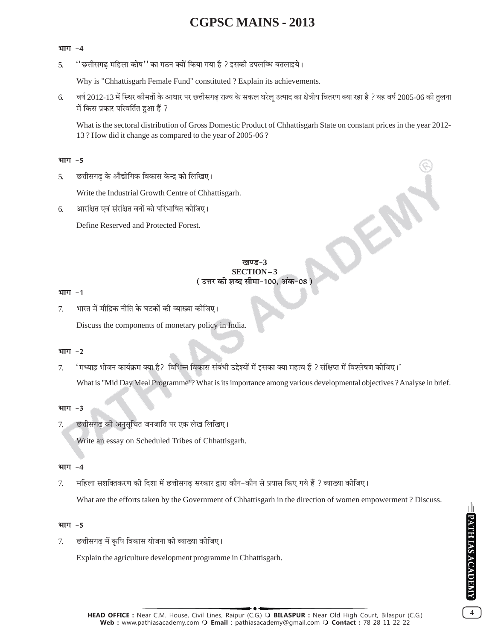#### भाग -4

''छत्तीसगढ़ महिला कोष'' का गठन क्यों किया गया है ? इसकी उपलब्धि बतलाइये। 5.

Why is "Chhattisgarh Female Fund" constituted ? Explain its achievements.

वर्ष 2012-13 में स्थिर कीमतों के आधार पर छत्तीसगढ राज्य के सकल घरेलु उत्पाद का क्षेत्रीय वितरण क्या रहा है ? यह वर्ष 2005-06 की तुलना 6. में किस प्रकार परिवर्तित हुआ हैं ?

What is the sectoral distribution of Gross Domestic Product of Chhattisgarh State on constant prices in the year 2012-13 ? How did it change as compared to the year of 2005-06 ?

#### भाग -5

छत्तीसगढ के औद्योगिक विकास केन्द्र को लिखिए। 5.

Write the Industrial Growth Centre of Chhattisgarh.

आरक्षित एवं संरक्षित वनों को परिभाषित कीजिए। 6.

Define Reserved and Protected Forest.

### **SECTION-3** ( उत्तर की शब्द सीमा-100. अंक-08 )

#### भाग -1

भारत में मौद्रिक नीति के घटकों की व्याख्या कीजिए।  $7<sub>1</sub>$ 

Discuss the components of monetary policy in India.

#### भाग $-2$

'मध्याह्न भोजन कार्यक्रम क्या है? विभिन्न विकास संबंधी उद्देश्यों में इसका क्या महत्व हैं ? संक्षिप्त में विश्लेषण कीजिए।'  $\tau$ 

What is "Mid Day Meal Programme'? What is its importance among various developmental objectives ? Analyse in brief.

#### भाग -3

छत्तीसगढ की अनुसुचित जनजाति पर एक लेख लिखिए। 7.

Write an essay on Scheduled Tribes of Chhattisgarh.

#### भाग -4

महिला सशक्तिकरण की दिशा में छत्तीसगढ सरकार द्वारा कौन–कौन से प्रयास किए गये हैं ? व्याख्या कीजिए। 7.

What are the efforts taken by the Government of Chhattisgarh in the direction of women empowerment ? Discuss.

#### भाग -5

छत्तीसगढ़ में कृषि विकास योजना की व्याख्या कीजिए। 7.

Explain the agriculture development programme in Chhattisgarh.